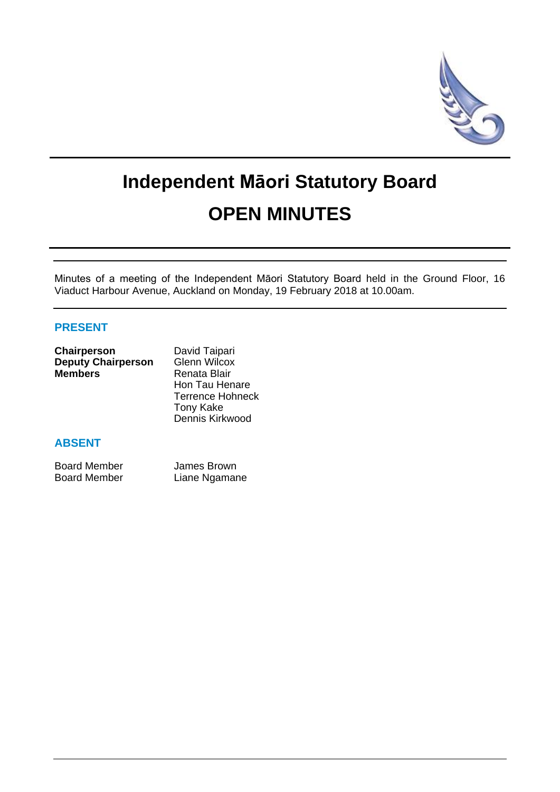

# **Independent Māori Statutory Board OPEN MINUTES**

Minutes of a meeting of the Independent Māori Statutory Board held in the Ground Floor, 16 Viaduct Harbour Avenue, Auckland on Monday, 19 February 2018 at 10.00am.

# **PRESENT**

| Chairperson               | David Taipari           |
|---------------------------|-------------------------|
| <b>Deputy Chairperson</b> | <b>Glenn Wilcox</b>     |
| <b>Members</b>            | Renata Blair            |
|                           | Hon Tau Henare          |
|                           | <b>Terrence Hohneck</b> |
|                           | <b>Tony Kake</b>        |
|                           | Dennis Kirkwood         |

## **ABSENT**

| <b>Board Member</b> | James Brown   |
|---------------------|---------------|
| <b>Board Member</b> | Liane Ngamane |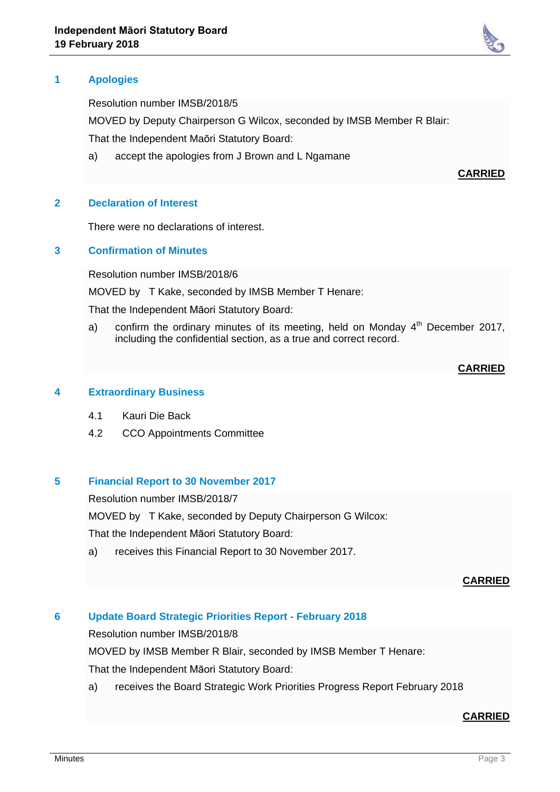

Resolution number IMSB/2018/5

MOVED by Deputy Chairperson G Wilcox, seconded by IMSB Member R Blair:

That the Independent Maōri Statutory Board:

a) accept the apologies from J Brown and L Ngamane

## **CARRIED**

## **2 Declaration of Interest**

There were no declarations of interest.

## **3 Confirmation of Minutes**

Resolution number IMSB/2018/6

MOVED by T Kake, seconded by IMSB Member T Henare:

That the Independent Māori Statutory Board:

a) confirm the ordinary minutes of its meeting, held on Monday  $4<sup>th</sup>$  December 2017, including the confidential section, as a true and correct record.

#### **CARRIED**

#### **4 Extraordinary Business**

- 4.1 Kauri Die Back
- 4.2 CCO Appointments Committee

## **5 Financial Report to 30 November 2017**

Resolution number IMSB/2018/7

MOVED by T Kake, seconded by Deputy Chairperson G Wilcox:

That the Independent Māori Statutory Board:

a) receives this Financial Report to 30 November 2017.

## **CARRIED**

# **6 Update Board Strategic Priorities Report - February 2018**

Resolution number IMSB/2018/8

MOVED by IMSB Member R Blair, seconded by IMSB Member T Henare:

That the Independent Māori Statutory Board:

a) receives the Board Strategic Work Priorities Progress Report February 2018

#### **CARRIED**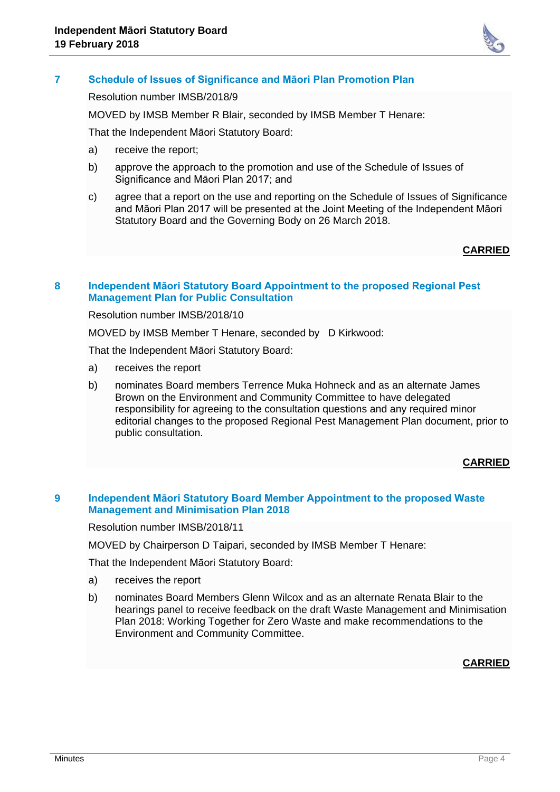

## **7 Schedule of Issues of Significance and Māori Plan Promotion Plan**

Resolution number IMSB/2018/9

MOVED by IMSB Member R Blair, seconded by IMSB Member T Henare:

That the Independent Māori Statutory Board:

- a) receive the report;
- b) approve the approach to the promotion and use of the Schedule of Issues of Significance and Māori Plan 2017; and
- c) agree that a report on the use and reporting on the Schedule of Issues of Significance and Māori Plan 2017 will be presented at the Joint Meeting of the Independent Māori Statutory Board and the Governing Body on 26 March 2018.

#### **CARRIED**

#### **8 Independent Māori Statutory Board Appointment to the proposed Regional Pest Management Plan for Public Consultation**

Resolution number IMSB/2018/10

MOVED by IMSB Member T Henare, seconded by D Kirkwood:

That the Independent Māori Statutory Board:

- a) receives the report
- b) nominates Board members Terrence Muka Hohneck and as an alternate James Brown on the Environment and Community Committee to have delegated responsibility for agreeing to the consultation questions and any required minor editorial changes to the proposed Regional Pest Management Plan document, prior to public consultation.

#### **CARRIED**

## **9 Independent Māori Statutory Board Member Appointment to the proposed Waste Management and Minimisation Plan 2018**

Resolution number IMSB/2018/11

MOVED by Chairperson D Taipari, seconded by IMSB Member T Henare:

That the Independent Māori Statutory Board:

- a) receives the report
- b) nominates Board Members Glenn Wilcox and as an alternate Renata Blair to the hearings panel to receive feedback on the draft Waste Management and Minimisation Plan 2018: Working Together for Zero Waste and make recommendations to the Environment and Community Committee.

#### **CARRIED**